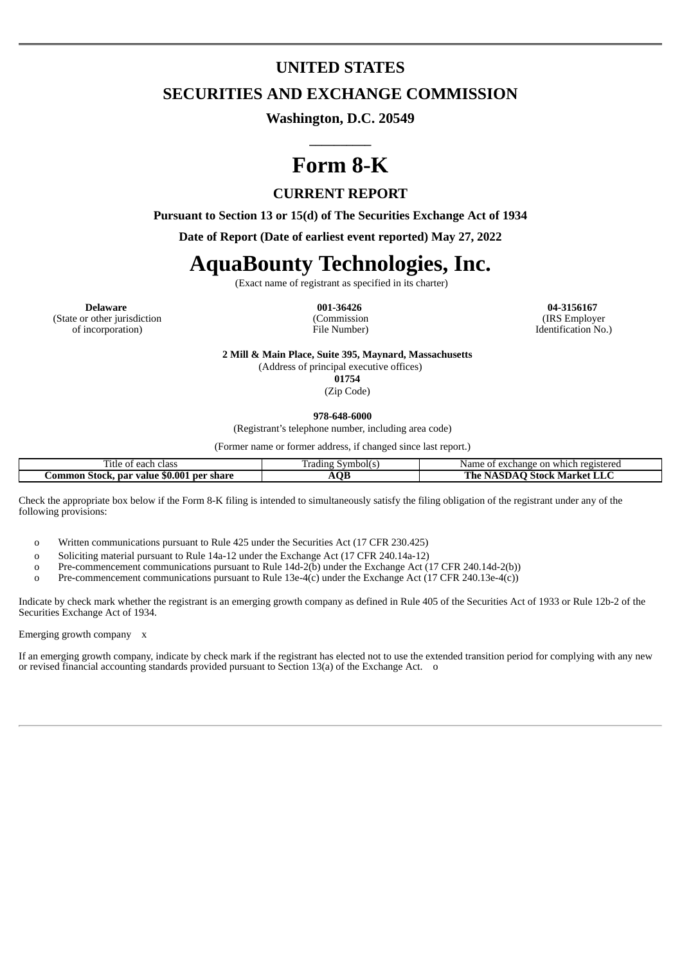# **UNITED STATES**

## **SECURITIES AND EXCHANGE COMMISSION**

**Washington, D.C. 20549**

**\_\_\_\_\_\_\_\_\_\_**

# **Form 8-K**

## **CURRENT REPORT**

**Pursuant to Section 13 or 15(d) of The Securities Exchange Act of 1934**

**Date of Report (Date of earliest event reported) May 27, 2022**

# **AquaBounty Technologies, Inc.**

(Exact name of registrant as specified in its charter)

**Delaware 001-36426 04-3156167** (State or other jurisdiction of incorporation)

(Commission File Number)

(IRS Employer Identification No.)

**2 Mill & Main Place, Suite 395, Maynard, Massachusetts**

(Address of principal executive offices)

**01754**

(Zip Code)

**978-648-6000**

(Registrant's telephone number, including area code)

(Former name or former address, if changed since last report.)

| $\sim$<br>. class<br>ritle.<br>each<br>UΙ                  | --<br>Tradıng<br>symbol(s | registered<br>$\sim$<br>whic<br>Name.<br>. hange<br>$\mathbf{a}$<br>u<br>OH<br>$\lambda$ |
|------------------------------------------------------------|---------------------------|------------------------------------------------------------------------------------------|
| $\mu$ par value \$0.001<br>. ommon<br>. per share<br>Stock | AOE                       | 1 he<br>Stock Market<br>ASDAI<br><u>וי</u><br><b>LILI</b>                                |

Check the appropriate box below if the Form 8-K filing is intended to simultaneously satisfy the filing obligation of the registrant under any of the following provisions:

o Written communications pursuant to Rule 425 under the Securities Act (17 CFR 230.425)

o Soliciting material pursuant to Rule 14a-12 under the Exchange Act (17 CFR 240.14a-12)

o Pre-commencement communications pursuant to Rule 14d-2(b) under the Exchange Act (17 CFR 240.14d-2(b))

o Pre-commencement communications pursuant to Rule 13e-4(c) under the Exchange Act (17 CFR 240.13e-4(c))

Indicate by check mark whether the registrant is an emerging growth company as defined in Rule 405 of the Securities Act of 1933 or Rule 12b-2 of the Securities Exchange Act of 1934.

Emerging growth company x

If an emerging growth company, indicate by check mark if the registrant has elected not to use the extended transition period for complying with any new or revised financial accounting standards provided pursuant to Section 13(a) of the Exchange Act. o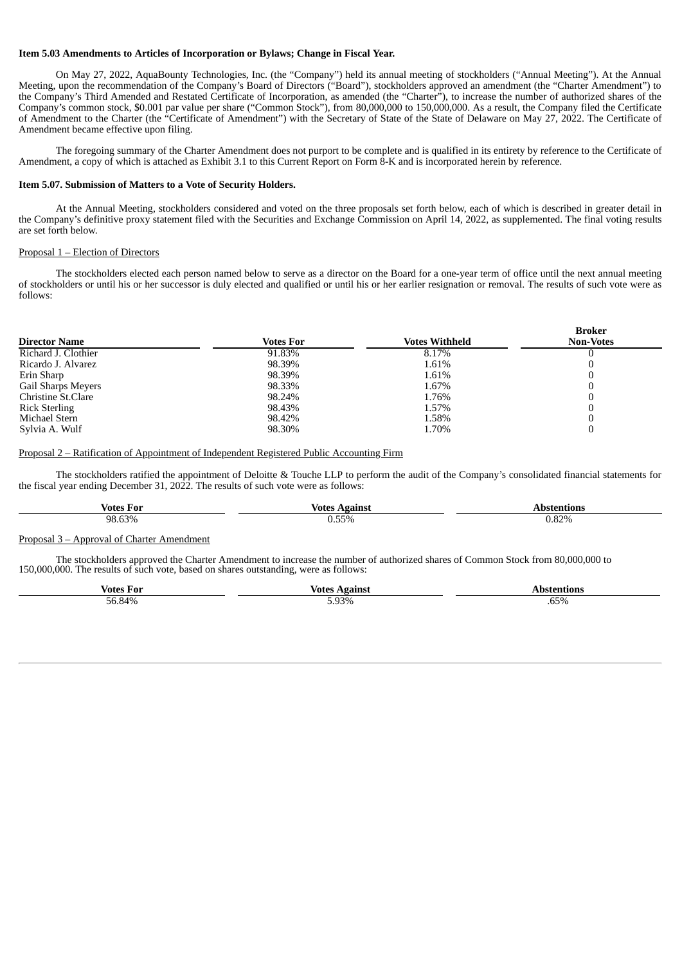#### **Item 5.03 Amendments to Articles of Incorporation or Bylaws; Change in Fiscal Year.**

On May 27, 2022, AquaBounty Technologies, Inc. (the "Company") held its annual meeting of stockholders ("Annual Meeting"). At the Annual Meeting, upon the recommendation of the Company's Board of Directors ("Board"), stockholders approved an amendment (the "Charter Amendment") to the Company's Third Amended and Restated Certificate of Incorporation, as amended (the "Charter"), to increase the number of authorized shares of the Company's common stock, \$0.001 par value per share ("Common Stock"), from 80,000,000 to 150,000,000. As a result, the Company filed the Certificate of Amendment to the Charter (the "Certificate of Amendment") with the Secretary of State of the State of Delaware on May 27, 2022. The Certificate of Amendment became effective upon filing.

The foregoing summary of the Charter Amendment does not purport to be complete and is qualified in its entirety by reference to the Certificate of Amendment, a copy of which is attached as Exhibit 3.1 to this Current Report on Form 8-K and is incorporated herein by reference.

### **Item 5.07. Submission of Matters to a Vote of Security Holders.**

At the Annual Meeting, stockholders considered and voted on the three proposals set forth below, each of which is described in greater detail in the Company's definitive proxy statement filed with the Securities and Exchange Commission on April 14, 2022, as supplemented. The final voting results are set forth below.

#### Proposal 1 – Election of Directors

The stockholders elected each person named below to serve as a director on the Board for a one-year term of office until the next annual meeting of stockholders or until his or her successor is duly elected and qualified or until his or her earlier resignation or removal. The results of such vote were as follows:

| <b>Director Name</b> | Votes For | <b>Votes Withheld</b> | <b>Broker</b><br><b>Non-Votes</b> |
|----------------------|-----------|-----------------------|-----------------------------------|
| Richard J. Clothier  | 91.83%    | 8.17%                 |                                   |
| Ricardo J. Alvarez   | 98.39%    | 1.61%                 |                                   |
| Erin Sharp           | 98.39%    | 1.61%                 |                                   |
| Gail Sharps Meyers   | 98.33%    | 1.67%                 |                                   |
| Christine St.Clare   | 98.24%    | 1.76%                 |                                   |
| <b>Rick Sterling</b> | 98.43%    | 1.57%                 |                                   |
| Michael Stern        | 98.42%    | 1.58%                 |                                   |
| Sylvia A. Wulf       | 98.30%    | 1.70%                 |                                   |

#### Proposal 2 – Ratification of Appointment of Independent Registered Public Accounting Firm

The stockholders ratified the appointment of Deloitte & Touche LLP to perform the audit of the Company's consolidated financial statements for the fiscal year ending December 31, 2022. The results of such vote were as follows:

| votes       | Votes    | ль.   |
|-------------|----------|-------|
| For         | againg   | tions |
| .63%<br>98. | $0.55\%$ | 0.82% |

#### Proposal 3 – Approval of Charter Amendment

The stockholders approved the Charter Amendment to increase the number of authorized shares of Common Stock from 80,000,000 to 150,000,000. The results of such vote, based on shares outstanding, were as follows:

| Jater<br>l or<br>_         | vote          |                                   |
|----------------------------|---------------|-----------------------------------|
| 9.10<br>$ \sim$<br>n۳<br>. | 93%<br>------ | $\sim -$<br>.<br>מ״כס.<br>$\cdot$ |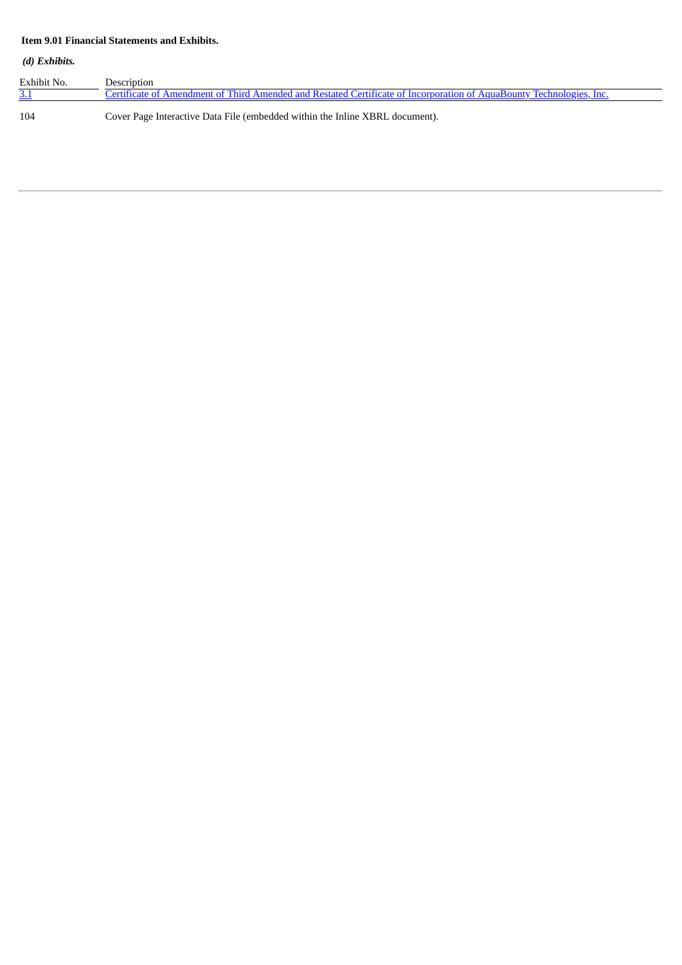## **Item 9.01 Financial Statements and Exhibits.**

### *(d) Exhibits.*

| Exhibit No. | Description                                                                                                          |
|-------------|----------------------------------------------------------------------------------------------------------------------|
| <u>3.1</u>  | Certificate of Amendment of Third Amended and Restated Certificate of Incorporation of AquaBounty Technologies, Inc. |
| 104         | Cover Page Interactive Data File (embedded within the Inline XBRL document).                                         |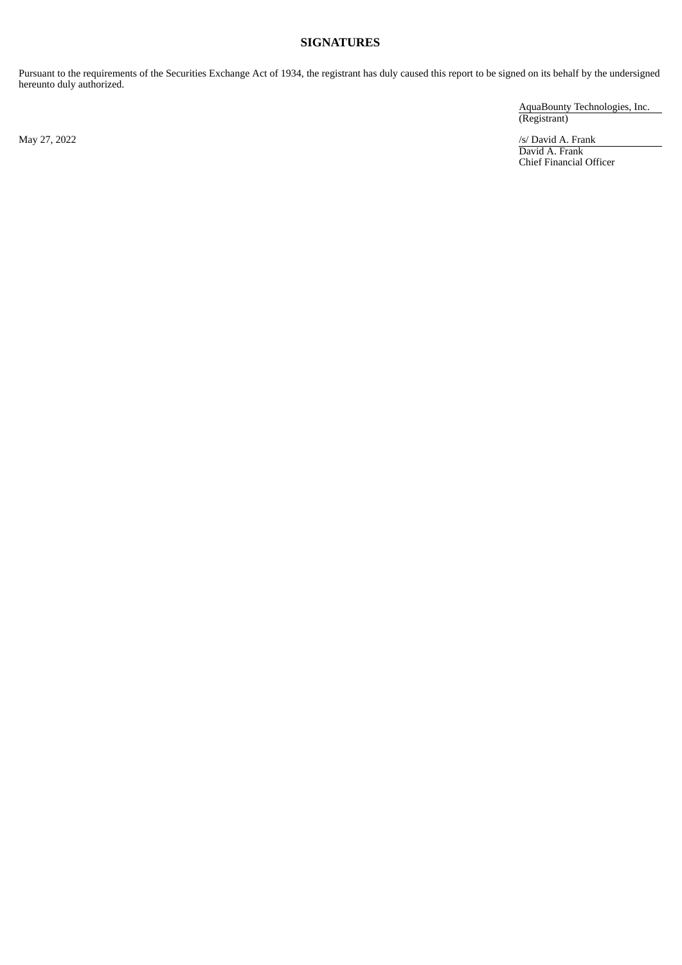## **SIGNATURES**

Pursuant to the requirements of the Securities Exchange Act of 1934, the registrant has duly caused this report to be signed on its behalf by the undersigned hereunto duly authorized.

AquaBounty Technologies, Inc. (Registrant)

May 27, 2022 *S/ David A. Frank* David A. Frank Chief Financial Officer